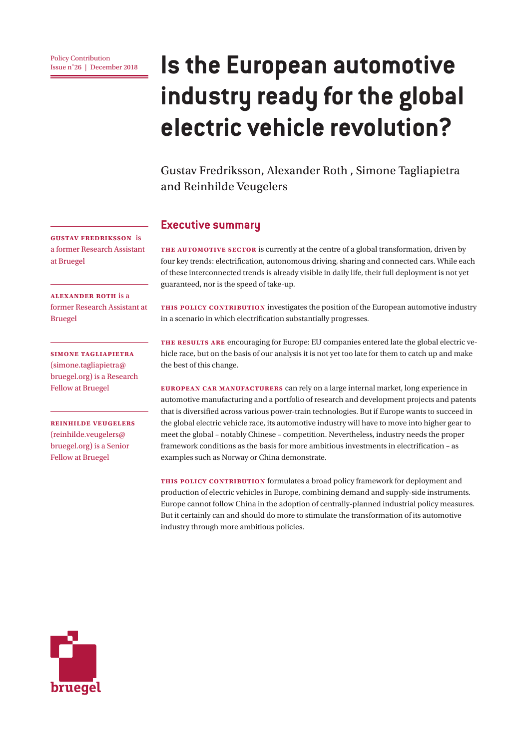# **Issue n°26 | December 2018 <br>
Is the European automotive industry ready for the global electric vehicle revolution?**

Gustav Fredriksson, Alexander Roth , Simone Tagliapietra and Reinhilde Veugelers

### **Executive summary**

**The automotive sector** is currently at the centre of a global transformation, driven by four key trends: electrification, autonomous driving, sharing and connected cars. While each of these interconnected trends is already visible in daily life, their full deployment is not yet guaranteed, nor is the speed of take-up.

**This Policy Contribution** investigates the position of the European automotive industry in a scenario in which electrification substantially progresses.

**The results are** encouraging for Europe: EU companies entered late the global electric vehicle race, but on the basis of our analysis it is not yet too late for them to catch up and make the best of this change.

**European car manufacturers** can rely on a large internal market, long experience in automotive manufacturing and a portfolio of research and development projects and patents that is diversified across various power-train technologies. But if Europe wants to succeed in the global electric vehicle race, its automotive industry will have to move into higher gear to meet the global – notably Chinese – competition. Nevertheless, industry needs the proper framework conditions as the basis for more ambitious investments in electrification – as examples such as Norway or China demonstrate.

**THIS POLICY CONTRIBUTION** formulates a broad policy framework for deployment and production of electric vehicles in Europe, combining demand and supply-side instruments. Europe cannot follow China in the adoption of centrally-planned industrial policy measures. But it certainly can and should do more to stimulate the transformation of its automotive industry through more ambitious policies.



**Gustav Fredriksson** is a former Research Assistant at Bruegel

**Alexander Roth** is a former Research Assistant at Bruegel

**Simone Tagliapietra**  (simone.tagliapietra@ bruegel.org) is a Research Fellow at Bruegel

**Reinhilde Veugelers**  (reinhilde.veugelers@ bruegel.org) is a Senior Fellow at Bruegel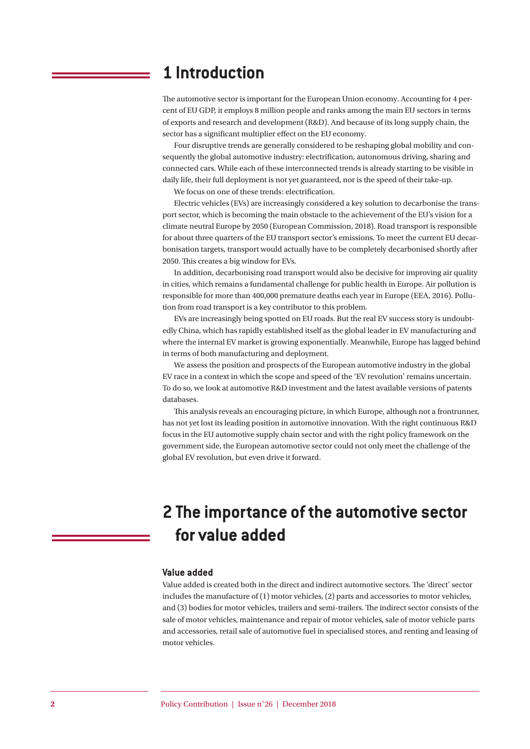### **1 Introduction**

The automotive sector is important for the European Union economy. Accounting for 4 percent of EU GDP, it employs 8 million people and ranks among the main EU sectors in terms of exports and research and development (R&D). And because of its long supply chain, the sector has a significant multiplier effect on the EU economy.

Four disruptive trends are generally considered to be reshaping global mobility and consequently the global automotive industry: electrification, autonomous driving, sharing and connected cars. While each of these interconnected trends is already starting to be visible in daily life, their full deployment is not yet guaranteed, nor is the speed of their take-up.

We focus on one of these trends: electrification.

Electric vehicles (EVs) are increasingly considered a key solution to decarbonise the transport sector, which is becoming the main obstacle to the achievement of the EU's vision for a climate neutral Europe by 2050 (European Commission, 2018). Road transport is responsible for about three quarters of the EU transport sector's emissions. To meet the current EU decarbonisation targets, transport would actually have to be completely decarbonised shortly after 2050. This creates a big window for EVs.

In addition, decarbonising road transport would also be decisive for improving air quality in cities, which remains a fundamental challenge for public health in Europe. Air pollution is responsible for more than 400,000 premature deaths each year in Europe (EEA, 2016). Pollution from road transport is a key contributor to this problem.

EVs are increasingly being spotted on EU roads. But the real EV success story is undoubtedly China, which has rapidly established itself as the global leader in EV manufacturing and where the internal EV market is growing exponentially. Meanwhile, Europe has lagged behind in terms of both manufacturing and deployment.

We assess the position and prospects of the European automotive industry in the global EV race in a context in which the scope and speed of the 'EV revolution' remains uncertain. To do so, we look at automotive R&D investment and the latest available versions of patents databases.

This analysis reveals an encouraging picture, in which Europe, although not a frontrunner, has not yet lost its leading position in automotive innovation. With the right continuous R&D focus in the EU automotive supply chain sector and with the right policy framework on the government side, the European automotive sector could not only meet the challenge of the global EV revolution, but even drive it forward.

# **2 The importance of the automotive sector for value added**

#### **Value added**

Value added is created both in the direct and indirect automotive sectors. The 'direct' sector includes the manufacture of (1) motor vehicles, (2) parts and accessories to motor vehicles, and (3) bodies for motor vehicles, trailers and semi-trailers. The indirect sector consists of the sale of motor vehicles, maintenance and repair of motor vehicles, sale of motor vehicle parts and accessories, retail sale of automotive fuel in specialised stores, and renting and leasing of motor vehicles.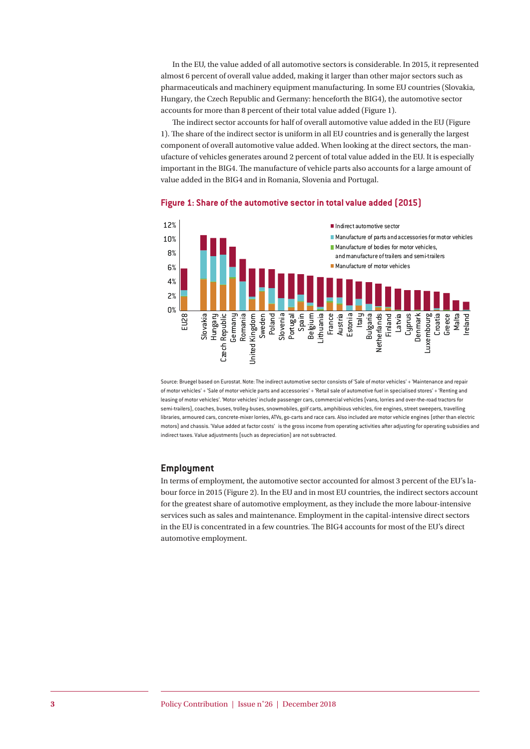In the EU, the value added of all automotive sectors is considerable. In 2015, it represented almost 6 percent of overall value added, making it larger than other major sectors such as pharmaceuticals and machinery equipment manufacturing. In some EU countries (Slovakia, Hungary, the Czech Republic and Germany: henceforth the BIG4), the automotive sector accounts for more than 8 percent of their total value added (Figure 1).

The indirect sector accounts for half of overall automotive value added in the EU (Figure 1). The share of the indirect sector is uniform in all EU countries and is generally the largest component of overall automotive value added. When looking at the direct sectors, the manufacture of vehicles generates around 2 percent of total value added in the EU. It is especially important in the BIG4. The manufacture of vehicle parts also accounts for a large amount of value added in the BIG4 and in Romania, Slovenia and Portugal.



**Figure 1: Share of the automotive sector in total value added (2015) Share of the automotive sector in total value added (2015)**

Source: Bruegel based on Eurostat. Note: The indirect automotive sector consists of 'Sale of motor vehicles' + 'Maintenance and repair of motor vehicles' + 'Sale of motor vehicle parts and accessories' + 'Retail sale of automotive fuel in specialised stores' + 'Renting and leasing of motor vehicles'. 'Motor vehicles' include passenger cars, commercial vehicles (vans, lorries and over-the-road tractors for semi-trailers), coaches, buses, trolley-buses, snowmobiles, golf carts, amphibious vehicles, fire engines, street sweepers, travelling libraries, armoured cars, concrete-mixer lorries, ATVs, go-carts and race cars. Also included are motor vehicle engines (other than electric motors) and chassis. 'Value added at factor costs' is the gross income from operating activities after adjusting for operating subsidies and indirect taxes. Value adjustments (such as depreciation) are not subtracted

#### **Employment**

In terms of employment, the automotive sector accounted for almost 3 percent of the EU's labour force in 2015 (Figure 2). In the EU and in most EU countries, the indirect sectors account for the greatest share of automotive employment, as they include the more labour-intensive services such as sales and maintenance. Employment in the capital-intensive direct sectors in the EU is concentrated in a few countries. The BIG4 accounts for most of the EU's direct automotive employment.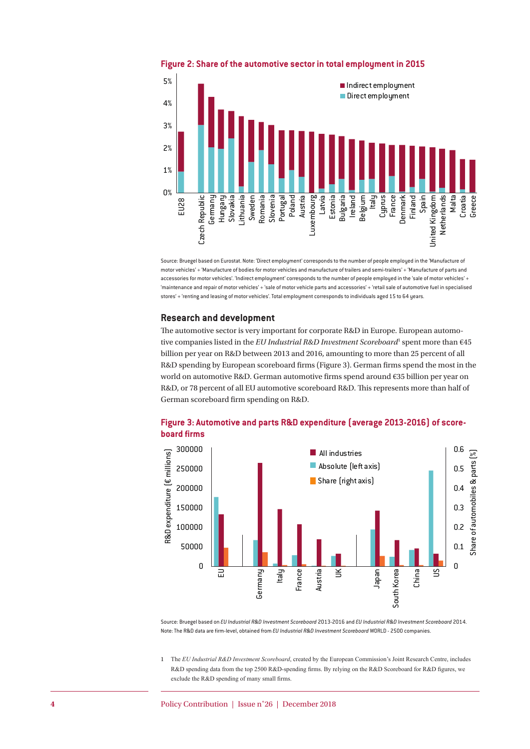



Source: Bruegel based on Eurostat. Note: 'Direct employment' corresponds to the number of people employed in the 'Manufacture of motor vehicles' + 'Manufacture of bodies for motor vehicles and manufacture of trailers and semi-trailers' + 'Manufacture of parts and accessories for motor vehicles'. 'Indirect employment' corresponds to the number of people employed in the 'sale of motor vehicles' + 'maintenance and repair of motor vehicles' + 'sale of motor vehicle parts and accessories' + 'retail sale of automotive fuel in specialised stores' + 'renting and leasing of motor vehicles'. Total employment corresponds to individuals aged 15 to 64 years.

#### **Research and development**

The automotive sector is very important for corporate R&D in Europe. European automotive companies listed in the *EU Industrial R&D Investment Scoreboard*<sup>1</sup> spent more than €45 billion per year on R&D between 2013 and 2016, amounting to more than 25 percent of all R&D spending by European scoreboard firms (Figure 3). German firms spend the most in the world on automotive R&D. German automotive firms spend around €35 billion per year on R&D, or 78 percent of all EU automotive scoreboard R&D. This represents more than half of German scoreboard firm spending on R&D.



#### **Figure 3: Automotive and parts R&D expenditure (average 2013-2016) of scoreboard firms**

Source: Bruegel based on *EU Industrial R&D Investment Scoreboard* 2013-2016 and *EU Industrial R&D Investment Scoreboard* 2014. Note: The R&D data are firm-level, obtained from *EU Industrial R&D Investment Scoreboard* WORLD - 2500 companies.

1 The *EU Industrial R&D Investment Scoreboard*, created by the European Commission's Joint Research Centre, includes R&D spending data from the top 2500 R&D-spending firms. By relying on the R&D Scoreboard for R&D figures, we exclude the R&D spending of many small firms.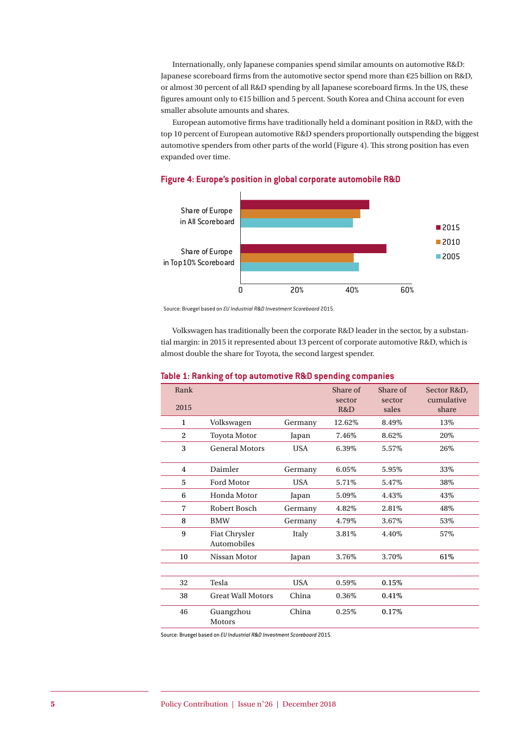Internationally, only Japanese companies spend similar amounts on automotive R&D: Japanese scoreboard firms from the automotive sector spend more than €25 billion on R&D, or almost 30 percent of all R&D spending by all Japanese scoreboard firms. In the US, these figures amount only to €15 billion and 5 percent. South Korea and China account for even smaller absolute amounts and shares.

European automotive firms have traditionally held a dominant position in R&D, with the top 10 percent of European automotive R&D spenders proportionally outspending the biggest automotive spenders from other parts of the world (Figure 4). This strong position has even expanded over time.



#### **Figure 4: Europe's position in global corporate automobile R&D**

Source: Bruegel based on *EU Industrial R&D Investment Scoreboard* 2015.

Volkswagen has traditionally been the corporate R&D leader in the sector, by a substantial margin: in 2015 it represented about 13 percent of corporate automotive R&D, which is almost double the share for Toyota, the second largest spender.

#### **Table 1: Ranking of top automotive R&D spending companies**

| Rank<br>2015   |                                     |            | Share of<br>sector<br>R&D | Share of<br>sector<br>sales | Sector R&D,<br>cumulative<br>share |
|----------------|-------------------------------------|------------|---------------------------|-----------------------------|------------------------------------|
| 1              | Volkswagen                          | Germany    | 12.62%                    | 8.49%                       | 13%                                |
| $\overline{c}$ | <b>Toyota Motor</b>                 | Japan      | 7.46%                     | 8.62%                       | 20%                                |
| 3              | <b>General Motors</b>               | <b>USA</b> | 6.39%                     | 5.57%                       | 26%                                |
| $\overline{4}$ | Daimler                             | Germany    | 6.05%                     | 5.95%                       | 33%                                |
| 5              | <b>Ford Motor</b>                   | <b>USA</b> | 5.71%                     | 5.47%                       | 38%                                |
| 6              | Honda Motor                         | Japan      | 5.09%                     | 4.43%                       | 43%                                |
| 7              | Robert Bosch                        | Germany    | 4.82%                     | 2.81%                       | 48%                                |
| 8              | <b>BMW</b>                          | Germany    | 4.79%                     | 3.67%                       | 53%                                |
| 9              | <b>Fiat Chrysler</b><br>Automobiles | Italy      | 3.81%                     | 4.40%                       | 57%                                |
| 10             | Nissan Motor                        | Japan      | 3.76%                     | 3.70%                       | 61%                                |
|                |                                     |            |                           |                             |                                    |
| 32             | Tesla                               | <b>USA</b> | 0.59%                     | 0.15%                       |                                    |
| 38             | <b>Great Wall Motors</b>            | China      | 0.36%                     | 0.41%                       |                                    |
| 46             | Guangzhou<br><b>Motors</b>          | China      | 0.25%                     | 0.17%                       |                                    |

Source: Bruegel based on *EU Industrial R&D Investment Scoreboard* 2015.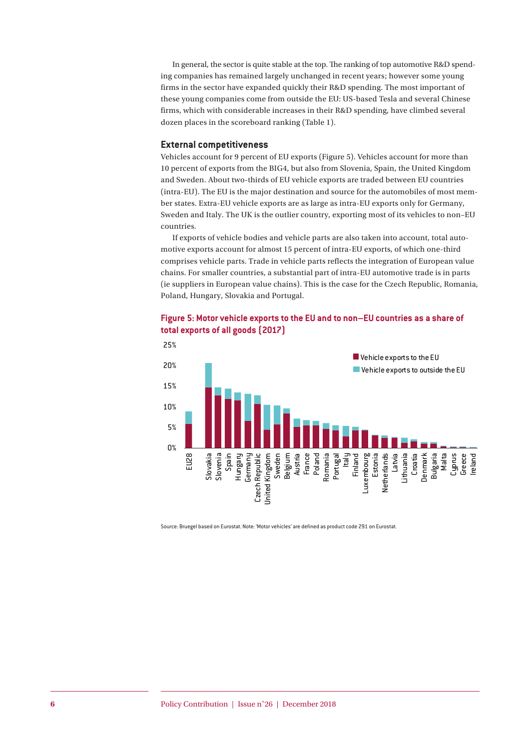In general, the sector is quite stable at the top. The ranking of top automotive R&D spending companies has remained largely unchanged in recent years; however some young firms in the sector have expanded quickly their R&D spending. The most important of these young companies come from outside the EU: US-based Tesla and several Chinese firms, which with considerable increases in their R&D spending, have climbed several dozen places in the scoreboard ranking (Table 1).

#### **External competitiveness**

Vehicles account for 9 percent of EU exports (Figure 5). Vehicles account for more than 10 percent of exports from the BIG4, but also from Slovenia, Spain, the United Kingdom and Sweden. About two-thirds of EU vehicle exports are traded between EU countries (intra-EU). The EU is the major destination and source for the automobiles of most member states. Extra-EU vehicle exports are as large as intra-EU exports only for Germany, Sweden and Italy. The UK is the outlier country, exporting most of its vehicles to non–EU countries.

If exports of vehicle bodies and vehicle parts are also taken into account, total automotive exports account for almost 15 percent of intra-EU exports, of which one-third comprises vehicle parts. Trade in vehicle parts reflects the integration of European value chains. For smaller countries, a substantial part of intra-EU automotive trade is in parts (ie suppliers in European value chains). This is the case for the Czech Republic, Romania, Poland, Hungary, Slovakia and Portugal.





Source: Bruegel based on Eurostat. Note: 'Motor vehicles' are defined as product code 291 on Eurostat.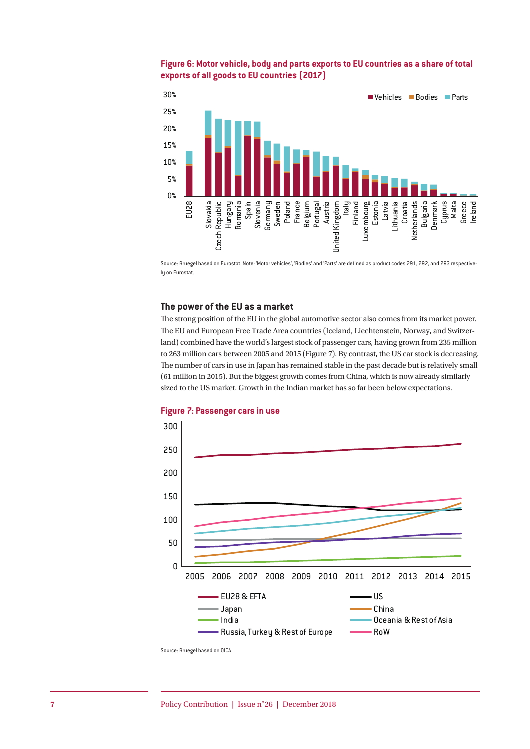### **Figure 6: Motor vehicle, body and parts exports to EU countries as a share of total exports of all goods to EU countries (2017)**



Source: Bruegel based on Eurostat. Note: 'Motor vehicles', 'Bodies' and 'Parts' are defined as product codes 291, 292, and 293 respectively on Eurostat.

#### **The power of the EU as a market**

The strong position of the EU in the global automotive sector also comes from its market power. The EU and European Free Trade Area countries (Iceland, Liechtenstein, Norway, and Switzerland) combined have the world's largest stock of passenger cars, having grown from 235 million to 263 million cars between 2005 and 2015 (Figure 7). By contrast, the US car stock is decreasing. The number of cars in use in Japan has remained stable in the past decade but is relatively small (61 million in 2015). But the biggest growth comes from China, which is now already similarly sized to the US market. Growth in the Indian market has so far been below expectations.



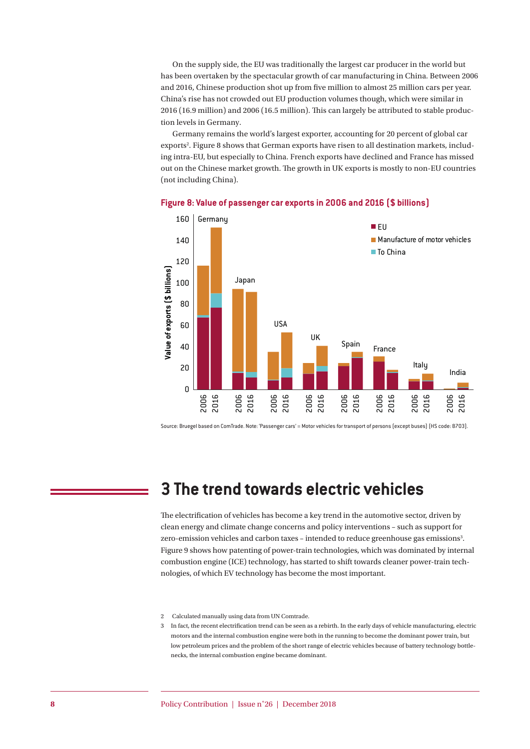On the supply side, the EU was traditionally the largest car producer in the world but has been overtaken by the spectacular growth of car manufacturing in China. Between 2006 and 2016, Chinese production shot up from five million to almost 25 million cars per year. China's rise has not crowded out EU production volumes though, which were similar in 2016 (16.9 million) and 2006 (16.5 million). This can largely be attributed to stable production levels in Germany.

Germany remains the world's largest exporter, accounting for 20 percent of global car exports<sup>2</sup>. Figure 8 shows that German exports have risen to all destination markets, including intra-EU, but especially to China. French exports have declined and France has missed out on the Chinese market growth. The growth in UK exports is mostly to non-EU countries (not including China).



**Figure 8: Value of passenger car exports in 2006 and 2016 (\$ billions)**

Source: Bruegel based on ComTrade. Note: 'Passenger cars' = Motor vehicles for transport of persons (except buses) (HS code: 8703).

# **3 The trend towards electric vehicles**

The electrification of vehicles has become a key trend in the automotive sector, driven by clean energy and climate change concerns and policy interventions – such as support for zero-emission vehicles and carbon taxes - intended to reduce greenhouse gas emissions<sup>3</sup>. Figure 9 shows how patenting of power-train technologies, which was dominated by internal combustion engine (ICE) technology, has started to shift towards cleaner power-train technologies, of which EV technology has become the most important.

<sup>2</sup> Calculated manually using data from UN Comtrade.

<sup>3</sup> In fact, the recent electrification trend can be seen as a rebirth. In the early days of vehicle manufacturing, electric motors and the internal combustion engine were both in the running to become the dominant power train, but low petroleum prices and the problem of the short range of electric vehicles because of battery technology bottlenecks, the internal combustion engine became dominant.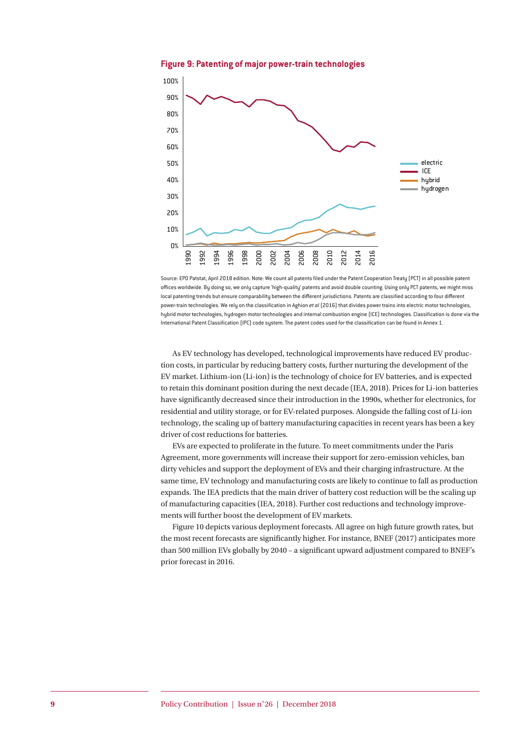



Source: EPO Patstat, April 2018 edition. Note: We count all patents filed under the Patent Cooperation Treaty (PCT) in all possible patent offices worldwide. By doing so, we only capture 'high-quality' patents and avoid double counting. Using only PCT patents, we might miss local patenting trends but ensure comparability between the different jurisdictions. Patents are classified according to four different power-train technologies. We rely on the classification in Aghion *et al* (2016) that divides power trains into electric motor technologies, hybrid motor technologies, hydrogen motor technologies and internal combustion engine (ICE) technologies. Classification is done via the International Patent Classification (IPC) code system. The patent codes used for the classification can be found in Annex 1.

As EV technology has developed, technological improvements have reduced EV production costs, in particular by reducing battery costs, further nurturing the development of the EV market. Lithium-ion (Li-ion) is the technology of choice for EV batteries, and is expected to retain this dominant position during the next decade (IEA, 2018). Prices for Li-ion batteries have significantly decreased since their introduction in the 1990s, whether for electronics, for residential and utility storage, or for EV-related purposes. Alongside the falling cost of Li-ion technology, the scaling up of battery manufacturing capacities in recent years has been a key driver of cost reductions for batteries.

EVs are expected to proliferate in the future. To meet commitments under the Paris Agreement, more governments will increase their support for zero-emission vehicles, ban dirty vehicles and support the deployment of EVs and their charging infrastructure. At the same time, EV technology and manufacturing costs are likely to continue to fall as production expands. The IEA predicts that the main driver of battery cost reduction will be the scaling up of manufacturing capacities (IEA, 2018). Further cost reductions and technology improvements will further boost the development of EV markets.

Figure 10 depicts various deployment forecasts. All agree on high future growth rates, but the most recent forecasts are significantly higher. For instance, BNEF (2017) anticipates more than 500 million EVs globally by 2040 – a significant upward adjustment compared to BNEF's prior forecast in 2016.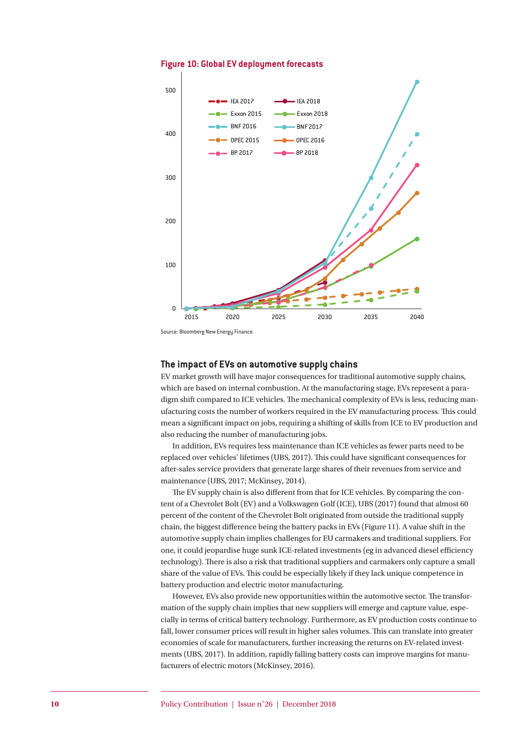

**Figure 10: Global EV deployment forecasts**

Source: Bloomberg New Energy Finance.

#### **The impact of EVs on automotive supply chains**

EV market growth will have major consequences for traditional automotive supply chains, which are based on internal combustion. At the manufacturing stage, EVs represent a paradigm shift compared to ICE vehicles. The mechanical complexity of EVs is less, reducing manufacturing costs the number of workers required in the EV manufacturing process. This could mean a significant impact on jobs, requiring a shifting of skills from ICE to EV production and also reducing the number of manufacturing jobs.

In addition, EVs requires less maintenance than ICE vehicles as fewer parts need to be replaced over vehicles' lifetimes (UBS, 2017). This could have significant consequences for after-sales service providers that generate large shares of their revenues from service and maintenance (UBS, 2017; McKinsey, 2014).

The EV supply chain is also different from that for ICE vehicles. By comparing the content of a Chevrolet Bolt (EV) and a Volkswagen Golf (ICE), UBS (2017) found that almost 60 percent of the content of the Chevrolet Bolt originated from outside the traditional supply chain, the biggest difference being the battery packs in EVs (Figure 11). A value shift in the automotive supply chain implies challenges for EU carmakers and traditional suppliers. For one, it could jeopardise huge sunk ICE-related investments (eg in advanced diesel efficiency technology). There is also a risk that traditional suppliers and carmakers only capture a small share of the value of EVs. This could be especially likely if they lack unique competence in battery production and electric motor manufacturing.

However, EVs also provide new opportunities within the automotive sector. The transformation of the supply chain implies that new suppliers will emerge and capture value, especially in terms of critical battery technology. Furthermore, as EV production costs continue to fall, lower consumer prices will result in higher sales volumes. This can translate into greater economies of scale for manufacturers, further increasing the returns on EV-related investments (UBS, 2017). In addition, rapidly falling battery costs can improve margins for manufacturers of electric motors (McKinsey, 2016).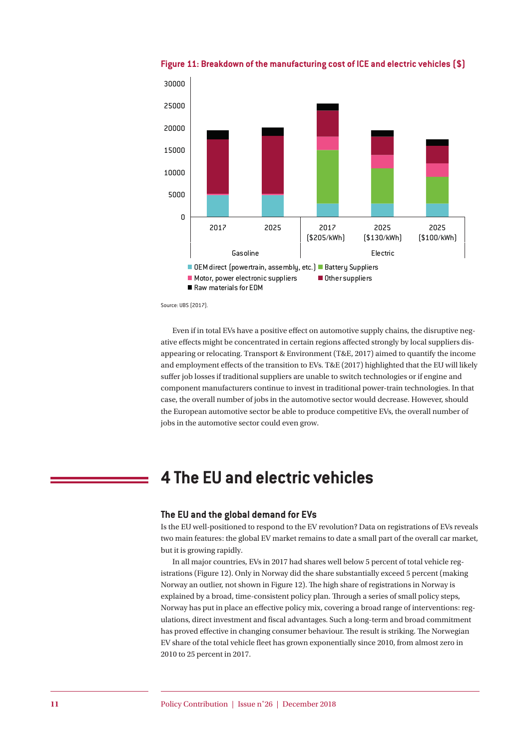

Figure 11: Breakdown of the manufacturing cost of ICE and electric vehicles (\$)

Source: UBS (2017).

Even if in total EVs have a positive effect on automotive supply chains, the disruptive negative effects might be concentrated in certain regions affected strongly by local suppliers disappearing or relocating. Transport & Environment (T&E, 2017) aimed to quantify the income and employment effects of the transition to EVs. T&E (2017) highlighted that the EU will likely suffer job losses if traditional suppliers are unable to switch technologies or if engine and component manufacturers continue to invest in traditional power-train technologies. In that case, the overall number of jobs in the automotive sector would decrease. However, should the European automotive sector be able to produce competitive EVs, the overall number of jobs in the automotive sector could even grow.

## **4 The EU and electric vehicles**

#### **The EU and the global demand for EVs**

Is the EU well-positioned to respond to the EV revolution? Data on registrations of EVs reveals two main features: the global EV market remains to date a small part of the overall car market, but it is growing rapidly.

In all major countries, EVs in 2017 had shares well below 5 percent of total vehicle registrations (Figure 12). Only in Norway did the share substantially exceed 5 percent (making Norway an outlier, not shown in Figure 12). The high share of registrations in Norway is explained by a broad, time-consistent policy plan. Through a series of small policy steps, Norway has put in place an effective policy mix, covering a broad range of interventions: regulations, direct investment and fiscal advantages. Such a long-term and broad commitment has proved effective in changing consumer behaviour. The result is striking. The Norwegian EV share of the total vehicle fleet has grown exponentially since 2010, from almost zero in 2010 to 25 percent in 2017.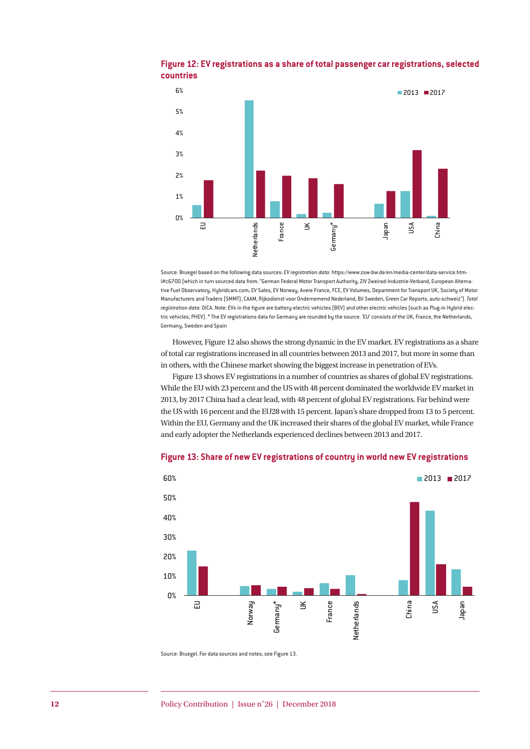

#### **Figure 12: EV registrations as a share of total passenger car registrations, selected countries**

Source: Bruegel based on the following data sources: *EV registration data:* https://www.zsw-bw.de/en/media-center/data-service.html#c6700 (which in turn sourced data from: "German Federal Motor Transport Authority, ZIV Zweirad-Industrie-Verband, European Alternative Fuel Observatory, Hybridcars.com, EV Sales, EV Norway, Avere France, FCE, EV Volumes, Department for Transport UK, Society of Motor Manufacturers and Traders (SMMT), CAAM, Rijksdienst voor Ondernemend Nederland, Bil Sweden, Green Car Reports, auto-schweiz"). *Total registration data:* OICA. Note: EVs in the figure are battery-electric vehicles (BEV) and other electric vehicles (such as Plug-in Hybrid electric vehicles, PHEV). \* The EV registrations data for Germany are rounded by the source. 'EU' consists of the UK, France, the Netherlands, Germany, Sweden and Spain

However, Figure 12 also shows the strong dynamic in the EV market. EV registrations as a share of total car registrations increased in all countries between 2013 and 2017, but more in some than in others, with the Chinese market showing the biggest increase in penetration of EVs.

Figure 13 shows EV registrations in a number of countries as shares of global EV registrations. While the EU with 23 percent and the US with 48 percent dominated the worldwide EV market in 2013, by 2017 China had a clear lead, with 48 percent of global EV registrations. Far behind were the US with 16 percent and the EU28 with 15 percent. Japan's share dropped from 13 to 5 percent. Within the EU, Germany and the UK increased their shares of the global EV market, while France and early adopter the Netherlands experienced declines between 2013 and 2017.



#### **Figure 13: Share of new EV registrations of country in world new EV registrations**

Source: Bruegel. For data sources and notes, see Figure 13.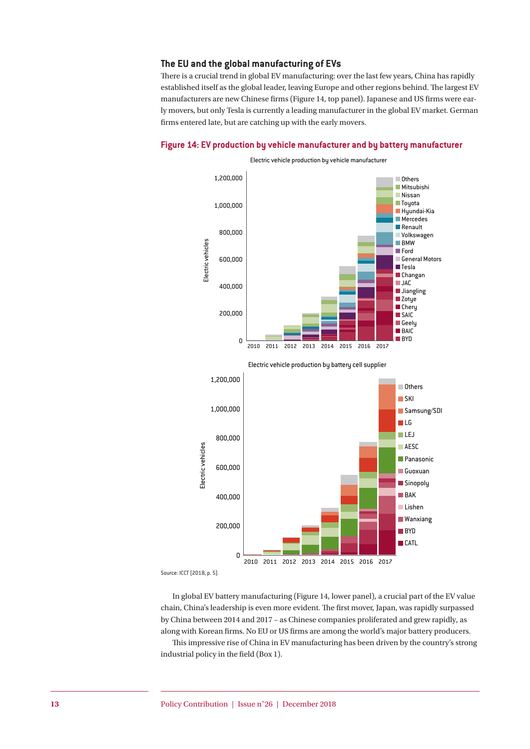#### **The EU and the global manufacturing of EVs**

There is a crucial trend in global EV manufacturing: over the last few years, China has rapidly established itself as the global leader, leaving Europe and other regions behind. The largest EV manufacturers are new Chinese firms (Figure 14, top panel). Japanese and US firms were early movers, but only Tesla is currently a leading manufacturer in the global EV market. German firms entered late, but are catching up with the early movers.

#### **Figure 14: EV production by vehicle manufacturer and by battery manufacturer**



1,200,000 Others **SKI** 1,000,000 Samsung/SDI **LG LEJ** 800,000 Electric vehicles Electric vehicles **AESC Panasonic** 600,000 **Guoxuan** Sinopoly **BAK** 400,000 Lishen **Wanxiang** 200,000 **BYD CATL**  $\overline{0}$ 2010 2011 2012 2013 2014 2015 2016 2017

Electric vehicle production by battery cell supplier

Source: ICCT (2018, p. 5).

In global EV battery manufacturing (Figure 14, lower panel), a crucial part of the EV value chain, China's leadership is even more evident. The first mover, Japan, was rapidly surpassed by China between 2014 and 2017 – as Chinese companies proliferated and grew rapidly, as along with Korean firms. No EU or US firms are among the world's major battery producers.

This impressive rise of China in EV manufacturing has been driven by the country's strong industrial policy in the field (Box 1).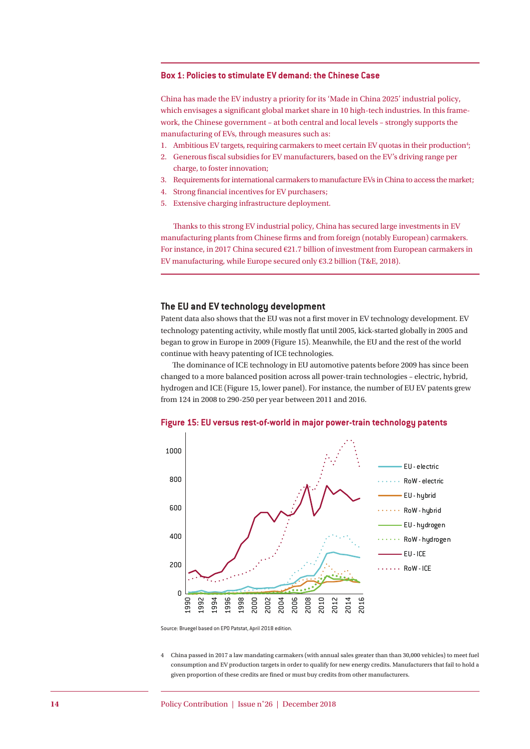#### **Box 1: Policies to stimulate EV demand: the Chinese Case**

China has made the EV industry a priority for its 'Made in China 2025' industrial policy, which envisages a significant global market share in 10 high-tech industries. In this framework, the Chinese government – at both central and local levels – strongly supports the manufacturing of EVs, through measures such as:

- 1. Ambitious EV targets, requiring carmakers to meet certain EV quotas in their production<sup>4</sup>;
- 2. Generous fiscal subsidies for EV manufacturers, based on the EV's driving range per charge, to foster innovation;
- 3. Requirements for international carmakers to manufacture EVs in China to access the market;
- 4. Strong financial incentives for EV purchasers;
- 5. Extensive charging infrastructure deployment.

Thanks to this strong EV industrial policy, China has secured large investments in EV manufacturing plants from Chinese firms and from foreign (notably European) carmakers. For instance, in 2017 China secured €21.7 billion of investment from European carmakers in EV manufacturing, while Europe secured only €3.2 billion (T&E, 2018).

#### **The EU and EV technology development**

Patent data also shows that the EU was not a first mover in EV technology development. EV technology patenting activity, while mostly flat until 2005, kick-started globally in 2005 and began to grow in Europe in 2009 (Figure 15). Meanwhile, the EU and the rest of the world continue with heavy patenting of ICE technologies.

The dominance of ICE technology in EU automotive patents before 2009 has since been changed to a more balanced position across all power-train technologies – electric, hybrid, hydrogen and ICE (Figure 15, lower panel). For instance, the number of EU EV patents grew from 124 in 2008 to 290-250 per year between 2011 and 2016. **Patenting EU vs. RoW in major power train technologies**



Figure 15: EU versus rest-of-world in major power-train technology patents

Source: Bruegel based on EPO Patstat, April 2018 edition.

4 China passed in 2017 a law mandating carmakers (with annual sales greater than than 30,000 vehicles) to meet fuel consumption and EV production targets in order to qualify for new energy credits. Manufacturers that fail to hold a given proportion of these credits are fined or must buy credits from other manufacturers.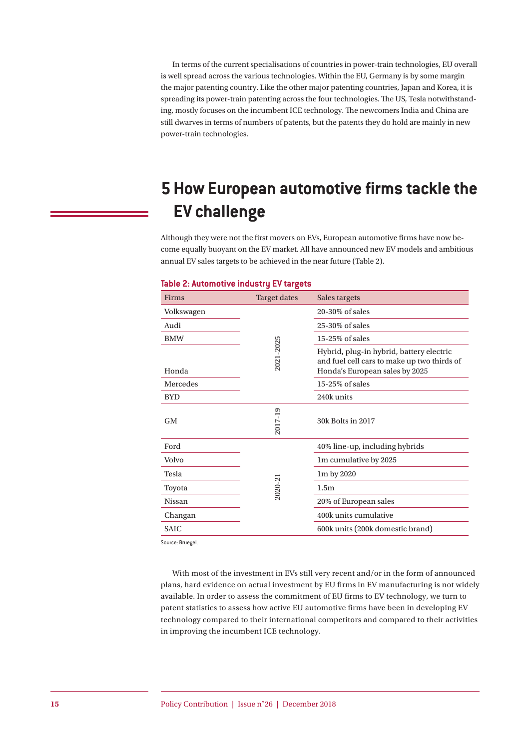In terms of the current specialisations of countries in power-train technologies, EU overall is well spread across the various technologies. Within the EU, Germany is by some margin the major patenting country. Like the other major patenting countries, Japan and Korea, it is spreading its power-train patenting across the four technologies. The US, Tesla notwithstanding, mostly focuses on the incumbent ICE technology. The newcomers India and China are still dwarves in terms of numbers of patents, but the patents they do hold are mainly in new power-train technologies.

# **5How European automotive firms tackle the EV challenge**

Although they were not the first movers on EVs, European automotive firms have now become equally buoyant on the EV market. All have announced new EV models and ambitious annual EV sales targets to be achieved in the near future (Table 2).

| Firms       | <b>Target dates</b> | Sales targets                                                                                                             |  |
|-------------|---------------------|---------------------------------------------------------------------------------------------------------------------------|--|
| Volkswagen  |                     | $20-30\%$ of sales                                                                                                        |  |
| Audi        |                     | $25-30\%$ of sales                                                                                                        |  |
| <b>BMW</b>  |                     | $15-25\%$ of sales                                                                                                        |  |
| Honda       | 2021-2025           | Hybrid, plug-in hybrid, battery electric<br>and fuel cell cars to make up two thirds of<br>Honda's European sales by 2025 |  |
| Mercedes    |                     | 15-25% of sales                                                                                                           |  |
| <b>BYD</b>  |                     | 240k units                                                                                                                |  |
| <b>GM</b>   | ၜ<br>2017-1         | 30k Bolts in 2017                                                                                                         |  |
| Ford        |                     | 40% line-up, including hybrids                                                                                            |  |
| Volvo       |                     | 1m cumulative by 2025                                                                                                     |  |
| Tesla       |                     | 1m by 2020                                                                                                                |  |
| Toyota      | 2020-21             | 1.5 <sub>m</sub>                                                                                                          |  |
| Nissan      |                     | 20% of European sales                                                                                                     |  |
| Changan     |                     | 400k units cumulative                                                                                                     |  |
| <b>SAIC</b> |                     | 600k units (200k domestic brand)                                                                                          |  |

#### **Table 2: Automotive industry EV targets**

Source: Bruegel.

With most of the investment in EVs still very recent and/or in the form of announced plans, hard evidence on actual investment by EU firms in EV manufacturing is not widely available. In order to assess the commitment of EU firms to EV technology, we turn to patent statistics to assess how active EU automotive firms have been in developing EV technology compared to their international competitors and compared to their activities in improving the incumbent ICE technology.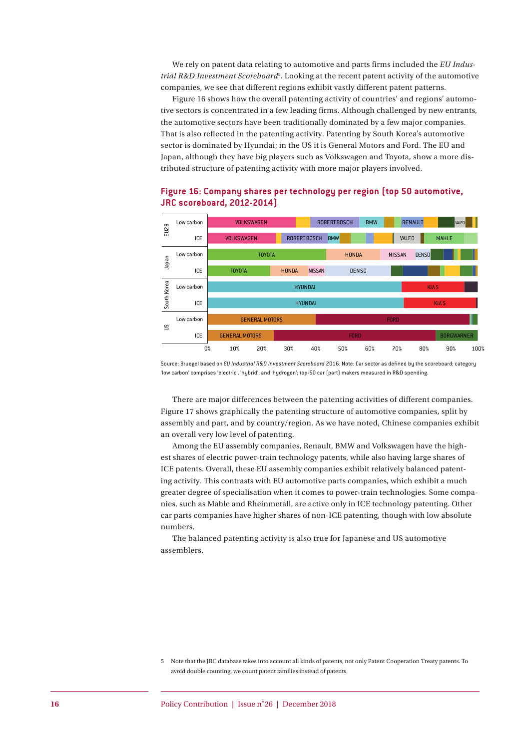We rely on patent data relating to automotive and parts firms included the *EU Industrial R&D Investment Scoreboard*<sup>5</sup> . Looking at the recent patent activity of the automotive companies, we see that different regions exhibit vastly different patent patterns.

Figure 16 shows how the overall patenting activity of countries' and regions' automotive sectors is concentrated in a few leading firms. Although challenged by new entrants, the automotive sectors have been traditionally dominated by a few major companies. That is also reflected in the patenting activity. Patenting by South Korea's automotive sector is dominated by Hyundai; in the US it is General Motors and Ford. The EU and Japan, although they have big players such as Volkswagen and Toyota, show a more distributed structure of patenting activity with more major players involved.

### **Figure 16: Company shares per technology per region (top 50 automotive, JRC scoreboard, 2012-2014)**



Source: Bruegel based on *EU Industrial R&D Investment Scoreboard* 2016. Note: Car sector as defined by the scoreboard; category 'low carbon' comprises 'electric', 'hybrid', and 'hydrogen'; top-50 car (part) makers measured in R&D spending.

There are major differences between the patenting activities of different companies. Figure 17 shows graphically the patenting structure of automotive companies, split by assembly and part, and by country/region. As we have noted, Chinese companies exhibit an overall very low level of patenting.

Among the EU assembly companies, Renault, BMW and Volkswagen have the highest shares of electric power-train technology patents, while also having large shares of ICE patents. Overall, these EU assembly companies exhibit relatively balanced patenting activity. This contrasts with EU automotive parts companies, which exhibit a much greater degree of specialisation when it comes to power-train technologies. Some companies, such as Mahle and Rheinmetall, are active only in ICE technology patenting. Other car parts companies have higher shares of non-ICE patenting, though with low absolute numbers.

The balanced patenting activity is also true for Japanese and US automotive assemblers.

<sup>5</sup> Note that the JRC database takes into account all kinds of patents, not only Patent Cooperation Treaty patents. To avoid double counting, we count patent families instead of patents.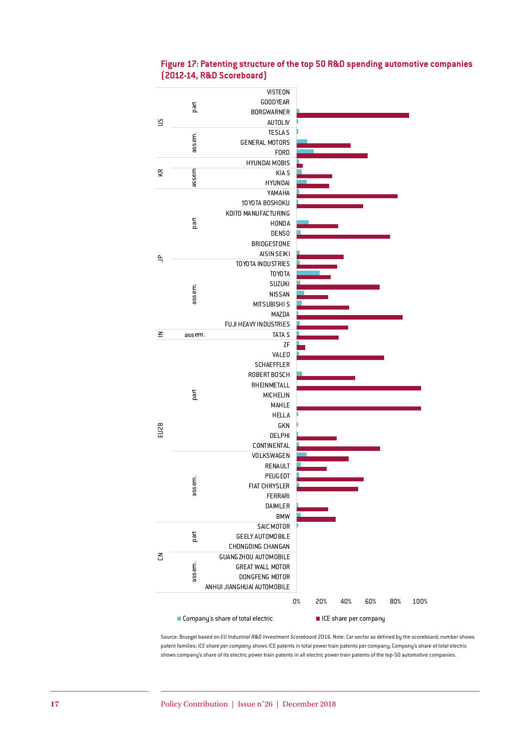

### **Figure 17: Patenting structure of the top 50 R&D spending automotive companies (2012-14, R&D Scoreboard)**

Source: Bruegel based on *EU Industrial R&D Investment Scoreboard* 2016. Note: Car sector as defined by the scoreboard; number shows patent families; *ICE share per company* shows ICE patents in total power train patents per company; Company's share of total electric shows company's share of its electric power train patents in all electric power train patents of the top-50 automotive companies.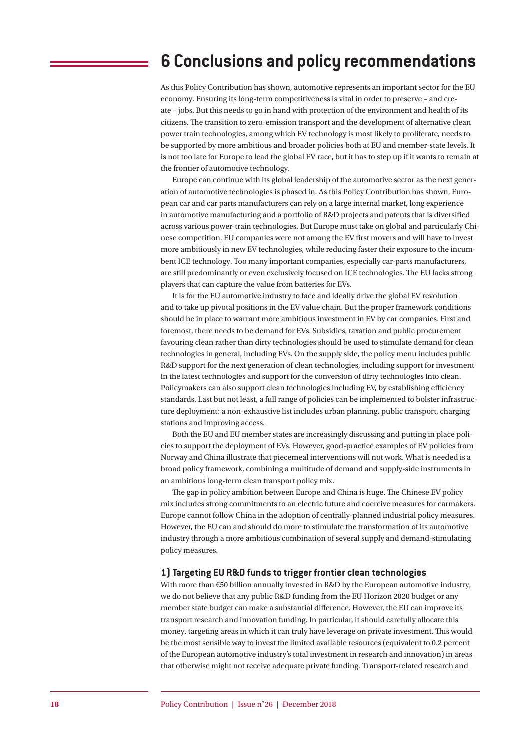## **6 Conclusions and policy recommendations**

As this Policy Contribution has shown, automotive represents an important sector for the EU economy. Ensuring its long-term competitiveness is vital in order to preserve – and create – jobs. But this needs to go in hand with protection of the environment and health of its citizens. The transition to zero-emission transport and the development of alternative clean power train technologies, among which EV technology is most likely to proliferate, needs to be supported by more ambitious and broader policies both at EU and member-state levels. It is not too late for Europe to lead the global EV race, but it has to step up if it wants to remain at the frontier of automotive technology.

Europe can continue with its global leadership of the automotive sector as the next generation of automotive technologies is phased in. As this Policy Contribution has shown, European car and car parts manufacturers can rely on a large internal market, long experience in automotive manufacturing and a portfolio of R&D projects and patents that is diversified across various power-train technologies. But Europe must take on global and particularly Chinese competition. EU companies were not among the EV first movers and will have to invest more ambitiously in new EV technologies, while reducing faster their exposure to the incumbent ICE technology. Too many important companies, especially car-parts manufacturers, are still predominantly or even exclusively focused on ICE technologies. The EU lacks strong players that can capture the value from batteries for EVs.

It is for the EU automotive industry to face and ideally drive the global EV revolution and to take up pivotal positions in the EV value chain. But the proper framework conditions should be in place to warrant more ambitious investment in EV by car companies. First and foremost, there needs to be demand for EVs. Subsidies, taxation and public procurement favouring clean rather than dirty technologies should be used to stimulate demand for clean technologies in general, including EVs. On the supply side, the policy menu includes public R&D support for the next generation of clean technologies, including support for investment in the latest technologies and support for the conversion of dirty technologies into clean. Policymakers can also support clean technologies including EV, by establishing efficiency standards. Last but not least, a full range of policies can be implemented to bolster infrastructure deployment: a non-exhaustive list includes urban planning, public transport, charging stations and improving access.

Both the EU and EU member states are increasingly discussing and putting in place policies to support the deployment of EVs. However, good-practice examples of EV policies from Norway and China illustrate that piecemeal interventions will not work. What is needed is a broad policy framework, combining a multitude of demand and supply-side instruments in an ambitious long-term clean transport policy mix.

The gap in policy ambition between Europe and China is huge. The Chinese EV policy mix includes strong commitments to an electric future and coercive measures for carmakers. Europe cannot follow China in the adoption of centrally-planned industrial policy measures. However, the EU can and should do more to stimulate the transformation of its automotive industry through a more ambitious combination of several supply and demand-stimulating policy measures.

#### **1) Targeting EU R&D funds to trigger frontier clean technologies**

With more than  $\epsilon$ 50 billion annually invested in R&D by the European automotive industry, we do not believe that any public R&D funding from the EU Horizon 2020 budget or any member state budget can make a substantial difference. However, the EU can improve its transport research and innovation funding. In particular, it should carefully allocate this money, targeting areas in which it can truly have leverage on private investment. This would be the most sensible way to invest the limited available resources (equivalent to 0.2 percent of the European automotive industry's total investment in research and innovation) in areas that otherwise might not receive adequate private funding. Transport-related research and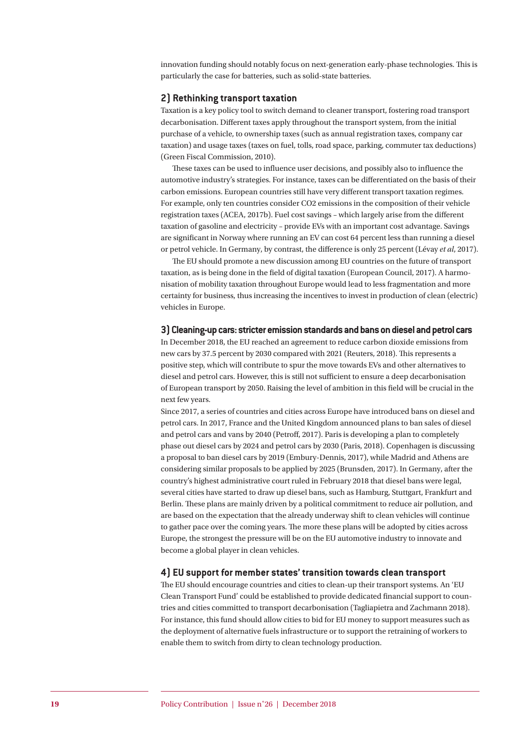innovation funding should notably focus on next-generation early-phase technologies. This is particularly the case for batteries, such as solid-state batteries.

#### **2) Rethinking transport taxation**

Taxation is a key policy tool to switch demand to cleaner transport, fostering road transport decarbonisation. Different taxes apply throughout the transport system, from the initial purchase of a vehicle, to ownership taxes (such as annual registration taxes, company car taxation) and usage taxes (taxes on fuel, tolls, road space, parking, commuter tax deductions) (Green Fiscal Commission, 2010).

These taxes can be used to influence user decisions, and possibly also to influence the automotive industry's strategies. For instance, taxes can be differentiated on the basis of their carbon emissions. European countries still have very different transport taxation regimes. For example, only ten countries consider CO2 emissions in the composition of their vehicle registration taxes (ACEA, 2017b). Fuel cost savings – which largely arise from the different taxation of gasoline and electricity – provide EVs with an important cost advantage. Savings are significant in Norway where running an EV can cost 64 percent less than running a diesel or petrol vehicle. In Germany, by contrast, the difference is only 25 percent (Lévay *et al*, 2017).

The EU should promote a new discussion among EU countries on the future of transport taxation, as is being done in the field of digital taxation (European Council, 2017). A harmonisation of mobility taxation throughout Europe would lead to less fragmentation and more certainty for business, thus increasing the incentives to invest in production of clean (electric) vehicles in Europe.

#### **3) Cleaning-up cars: stricter emission standards and bans on diesel and petrol cars**

In December 2018, the EU reached an agreement to reduce carbon dioxide emissions from new cars by 37.5 percent by 2030 compared with 2021 (Reuters, 2018). This represents a positive step, which will contribute to spur the move towards EVs and other alternatives to diesel and petrol cars. However, this is still not sufficient to ensure a deep decarbonisation of European transport by 2050. Raising the level of ambition in this field will be crucial in the next few years.

Since 2017, a series of countries and cities across Europe have introduced bans on diesel and petrol cars. In 2017, France and the United Kingdom announced plans to ban sales of diesel and petrol cars and vans by 2040 (Petroff, 2017). Paris is developing a plan to completely phase out diesel cars by 2024 and petrol cars by 2030 (Paris, 2018). Copenhagen is discussing a proposal to ban diesel cars by 2019 (Embury-Dennis, 2017), while Madrid and Athens are considering similar proposals to be applied by 2025 (Brunsden, 2017). In Germany, after the country's highest administrative court ruled in February 2018 that diesel bans were legal, several cities have started to draw up diesel bans, such as Hamburg, Stuttgart, Frankfurt and Berlin. These plans are mainly driven by a political commitment to reduce air pollution, and are based on the expectation that the already underway shift to clean vehicles will continue to gather pace over the coming years. The more these plans will be adopted by cities across Europe, the strongest the pressure will be on the EU automotive industry to innovate and become a global player in clean vehicles.

#### **4) EU support for member states' transition towards clean transport**

The EU should encourage countries and cities to clean-up their transport systems. An 'EU Clean Transport Fund' could be established to provide dedicated financial support to countries and cities committed to transport decarbonisation (Tagliapietra and Zachmann 2018). For instance, this fund should allow cities to bid for EU money to support measures such as the deployment of alternative fuels infrastructure or to support the retraining of workers to enable them to switch from dirty to clean technology production.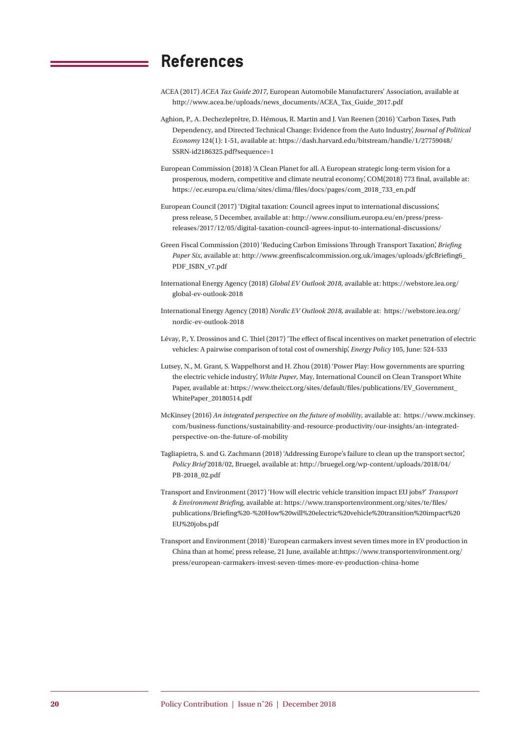# **References**

- ACEA (2017) *ACEA Tax Guide 2017*, European Automobile Manufacturers' Association, available at [http://www.acea.be/uploads/news\\_documents/ACEA\\_Tax\\_Guide\\_2017.pdf](http://www.acea.be/uploads/news_documents/ACEA_Tax_Guide_2017.pdf)
- Aghion, P., A. Dechezleprêtre, D. Hémous, R. Martin and J. Van Reenen (2016) 'Carbon Taxes, Path Dependency, and Directed Technical Change: Evidence from the Auto Industry', *Journal of Political Economy* 124(1): 1-51, available at: [https://dash.harvard.edu/bitstream/handle/1/27759048/](https://dash.harvard.edu/bitstream/handle/1/27759048/SSRN-id2186325.pdf?sequence=1) [SSRN-id2186325.pdf?sequence=1](https://dash.harvard.edu/bitstream/handle/1/27759048/SSRN-id2186325.pdf?sequence=1)
- European Commission (2018) 'A Clean Planet for all. A European strategic long-term vision for a prosperous, modern, competitive and climate neutral economy', COM(2018) 773 final, available at: https://ec.europa.eu/clima/sites/clima/files/docs/pages/com\_2018\_733\_en.pdf
- European Council (2017) 'Digital taxation: Council agrees input to international discussions', press release, 5 December, available at: [http://www.consilium.europa.eu/en/press/press](http://www.consilium.europa.eu/en/press/press-releases/2017/12/05/digital-taxation-council-agrees-input-to-international-discussions/)[releases/2017/12/05/digital-taxation-council-agrees-input-to-international-discussions/](http://www.consilium.europa.eu/en/press/press-releases/2017/12/05/digital-taxation-council-agrees-input-to-international-discussions/)
- Green Fiscal Commission (2010) 'Reducing Carbon Emissions Through Transport Taxation', *Briefing Paper Six*, available at: [http://www.greenfiscalcommission.org.uk/images/uploads/gfcBriefing6\\_](http://www.greenfiscalcommission.org.uk/images/uploads/gfcBriefing6_PDF_ISBN_v7.pdf) [PDF\\_ISBN\\_v7.pdf](http://www.greenfiscalcommission.org.uk/images/uploads/gfcBriefing6_PDF_ISBN_v7.pdf)
- International Energy Agency (2018) *Global EV Outlook 2018*, available at: [https://webstore.iea.org/](https://webstore.iea.org/global-ev-outlook-2018) [global-ev-outlook-2018](https://webstore.iea.org/global-ev-outlook-2018)
- International Energy Agency (2018) *Nordic EV Outlook 2018*, available at: [https://webstore.iea.org/](https://webstore.iea.org/nordic-ev-outlook-2018) [nordic-ev-outlook-2018](https://webstore.iea.org/nordic-ev-outlook-2018)
- Lévay, P., Y. Drossinos and C. Thiel (2017) 'The effect of fiscal incentives on market penetration of electric vehicles: A pairwise comparison of total cost of ownership', *Energy Policy* 105, June: 524-533
- Lutsey, N., M. Grant, S. Wappelhorst and H. Zhou (2018) 'Power Play: How governments are spurring the electric vehicle industry', *White Paper*, May, International Council on Clean Transport White Paper, available at: [https://www.theicct.org/sites/default/files/publications/EV\\_Government\\_](https://www.theicct.org/sites/default/files/publications/EV_Government_WhitePaper_20180514.pdf) [WhitePaper\\_20180514.pdf](https://www.theicct.org/sites/default/files/publications/EV_Government_WhitePaper_20180514.pdf)
- McKinsey (2016) *An integrated perspective on the future of mobility,* available at: [https://www.mckinsey.](https://www.mckinsey.com/business-functions/sustainability-and-resource-productivity/our-insights/an-integrated-perspective-on-the-future-of-mobility) [com/business-functions/sustainability-and-resource-productivity/our-insights/an-integrated](https://www.mckinsey.com/business-functions/sustainability-and-resource-productivity/our-insights/an-integrated-perspective-on-the-future-of-mobility)[perspective-on-the-future-of-mobility](https://www.mckinsey.com/business-functions/sustainability-and-resource-productivity/our-insights/an-integrated-perspective-on-the-future-of-mobility)
- Tagliapietra, S. and G. Zachmann (2018) 'Addressing Europe's failure to clean up the transport sector', *Policy Brief* 2018/02, Bruegel, available at: [http://bruegel.org/wp-content/uploads/2018/04/](http://bruegel.org/wp-content/uploads/2018/04/PB-2018_02.pdf) [PB-2018\\_02.pdf](http://bruegel.org/wp-content/uploads/2018/04/PB-2018_02.pdf)
- Transport and Environment (2017) 'How will electric vehicle transition impact EU jobs?' *Transport & Environment Briefing*, available at: [https://www.transportenvironment.org/sites/te/files/](https://www.transportenvironment.org/sites/te/files/publications/Briefing%20-%20How%20will%20electric%20vehicle%20transition%20impact%20EU%20jobs.pdf) [publications/Briefing%20-%20How%20will%20electric%20vehicle%20transition%20impact%20](https://www.transportenvironment.org/sites/te/files/publications/Briefing%20-%20How%20will%20electric%20vehicle%20transition%20impact%20EU%20jobs.pdf) [EU%20jobs.pdf](https://www.transportenvironment.org/sites/te/files/publications/Briefing%20-%20How%20will%20electric%20vehicle%20transition%20impact%20EU%20jobs.pdf)
- Transport and Environment (2018) 'European carmakers invest seven times more in EV production in China than at home', press release, 21 June, available at:[https://www.transportenvironment.org/](https://www.transportenvironment.org/press/european-carmakers-invest-seven-times-more-ev-production-china-home) [press/european-carmakers-invest-seven-times-more-ev-production-china-home](https://www.transportenvironment.org/press/european-carmakers-invest-seven-times-more-ev-production-china-home)